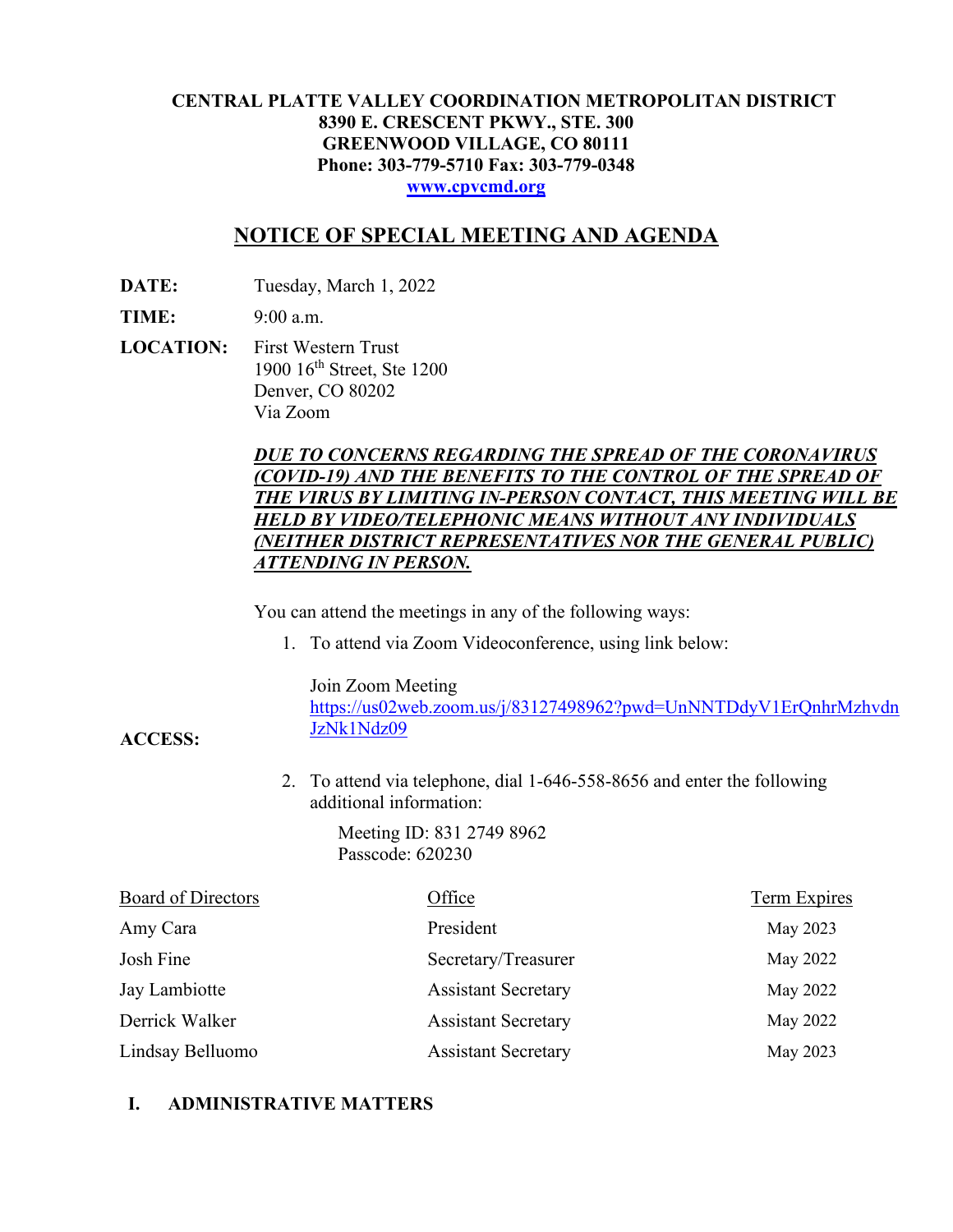#### **CENTRAL PLATTE VALLEY COORDINATION METROPOLITAN DISTRICT 8390 E. CRESCENT PKWY., STE. 300 GREENWOOD VILLAGE, CO 80111 Phone: 303-779-5710 Fax: 303-779-0348 [www.cpvcmd.org](http://www.cpvcmd.org/)**

# **NOTICE OF SPECIAL MEETING AND AGENDA**

**DATE:** Tuesday, March 1, 2022

**TIME:** 9:00 a.m.

**ACCESS:**

**LOCATION:** First Western Trust 1900 16<sup>th</sup> Street, Ste 1200 Denver, CO 80202 Via Zoom

#### *DUE TO CONCERNS REGARDING THE SPREAD OF THE CORONAVIRUS (COVID-19) AND THE BENEFITS TO THE CONTROL OF THE SPREAD OF THE VIRUS BY LIMITING IN-PERSON CONTACT, THIS MEETING WILL BE HELD BY VIDEO/TELEPHONIC MEANS WITHOUT ANY INDIVIDUALS (NEITHER DISTRICT REPRESENTATIVES NOR THE GENERAL PUBLIC) ATTENDING IN PERSON.*

You can attend the meetings in any of the following ways:

1. To attend via Zoom Videoconference, using link below:

Join Zoom Meeting

[https://us02web.zoom.us/j/83127498962?pwd=UnNNTDdyV1ErQnhrMzhvdn](https://nam11.safelinks.protection.outlook.com/?url=https%3A%2F%2Fus02web.zoom.us%2Fj%2F83127498962%3Fpwd%3DUnNNTDdyV1ErQnhrMzhvdnJzNk1Ndz09&data=04%7C01%7CRachel.alles%40claconnect.com%7C515b8a3a5bb149f0483608d9bfe9225c%7C4aaa468e93ba4ee3ab9f6a247aa3ade0%7C0%7C0%7C637751830440162010%7CUnknown%7CTWFpbGZsb3d8eyJWIjoiMC4wLjAwMDAiLCJQIjoiV2luMzIiLCJBTiI6Ik1haWwiLCJXVCI6Mn0%3D%7C1000&sdata=52L7UuwlopVA0rXq4v79MPjtXkMJTQPWRs1BvoYRINs%3D&reserved=0) [JzNk1Ndz09](https://nam11.safelinks.protection.outlook.com/?url=https%3A%2F%2Fus02web.zoom.us%2Fj%2F83127498962%3Fpwd%3DUnNNTDdyV1ErQnhrMzhvdnJzNk1Ndz09&data=04%7C01%7CRachel.alles%40claconnect.com%7C515b8a3a5bb149f0483608d9bfe9225c%7C4aaa468e93ba4ee3ab9f6a247aa3ade0%7C0%7C0%7C637751830440162010%7CUnknown%7CTWFpbGZsb3d8eyJWIjoiMC4wLjAwMDAiLCJQIjoiV2luMzIiLCJBTiI6Ik1haWwiLCJXVCI6Mn0%3D%7C1000&sdata=52L7UuwlopVA0rXq4v79MPjtXkMJTQPWRs1BvoYRINs%3D&reserved=0)

2. To attend via telephone, dial 1-646-558-8656 and enter the following additional information:

> Meeting ID: 831 2749 8962 Passcode: 620230

| <b>Board of Directors</b> | Office                     | <b>Term Expires</b> |
|---------------------------|----------------------------|---------------------|
| Amy Cara                  | President                  | May 2023            |
| Josh Fine                 | Secretary/Treasurer        | May 2022            |
| Jay Lambiotte             | <b>Assistant Secretary</b> | May 2022            |
| Derrick Walker            | <b>Assistant Secretary</b> | May 2022            |
| Lindsay Belluomo          | <b>Assistant Secretary</b> | May 2023            |

## **I. ADMINISTRATIVE MATTERS**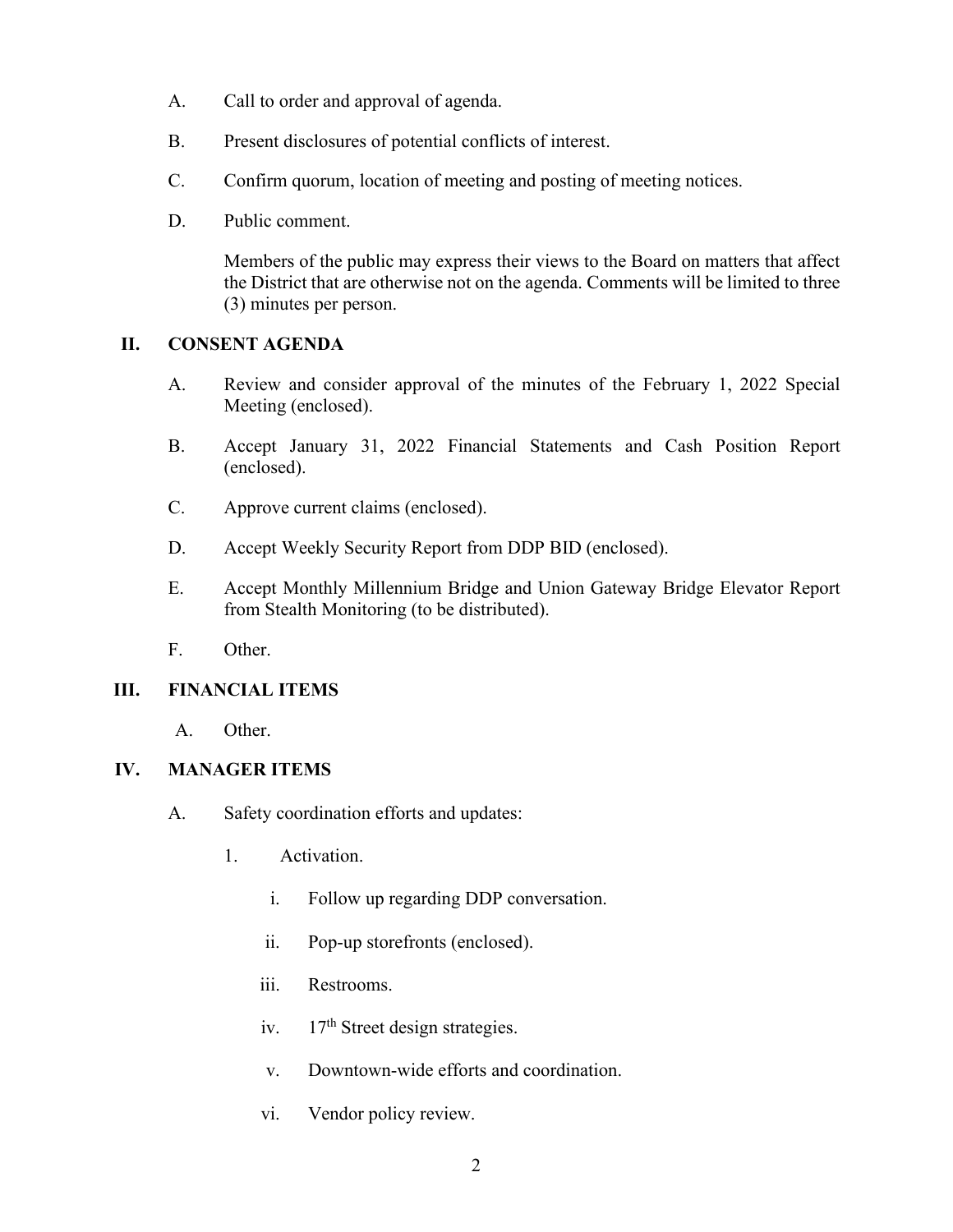- A. Call to order and approval of agenda.
- B. Present disclosures of potential conflicts of interest.
- C. Confirm quorum, location of meeting and posting of meeting notices.
- D. Public comment.

Members of the public may express their views to the Board on matters that affect the District that are otherwise not on the agenda. Comments will be limited to three (3) minutes per person.

## **II. CONSENT AGENDA**

- A. Review and consider approval of the minutes of the February 1, 2022 Special Meeting (enclosed).
- B. Accept January 31, 2022 Financial Statements and Cash Position Report (enclosed).
- C. Approve current claims (enclosed).
- D. Accept Weekly Security Report from DDP BID (enclosed).
- E. Accept Monthly Millennium Bridge and Union Gateway Bridge Elevator Report from Stealth Monitoring (to be distributed).
- F. Other.

# **III. FINANCIAL ITEMS**

A. Other.

## **IV. MANAGER ITEMS**

- A. Safety coordination efforts and updates:
	- 1. Activation.
		- i. Follow up regarding DDP conversation.
		- ii. Pop-up storefronts (enclosed).
		- iii. Restrooms.
		- iv.  $17<sup>th</sup>$  Street design strategies.
		- v. Downtown-wide efforts and coordination.
		- vi. Vendor policy review.